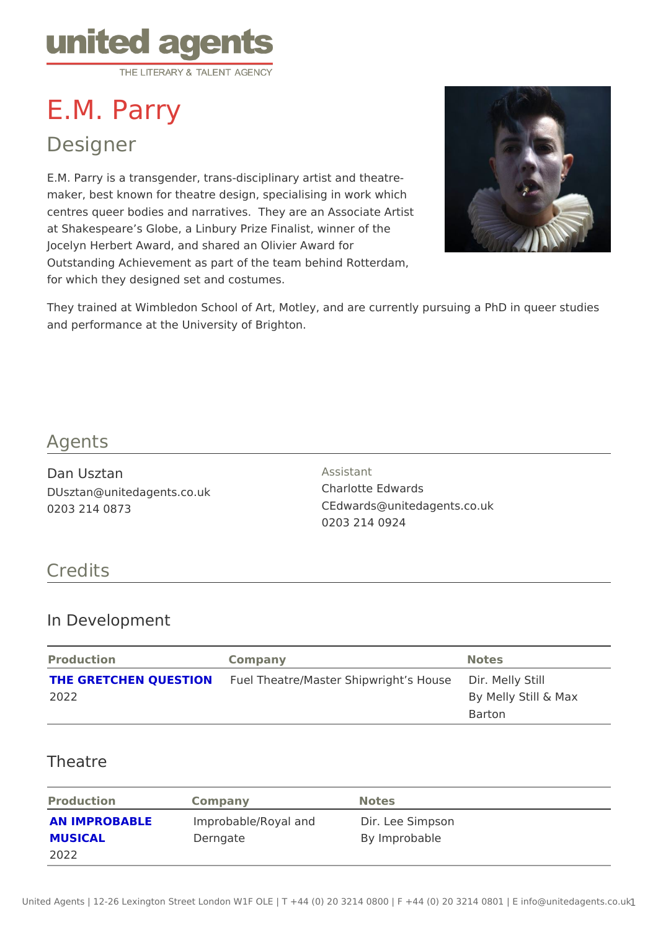# E.M. Parry

## Designer

E.M. Parry is a transgender, trans-disciplinary artist and theatre maker, best known for theatre design, specialising in work which centres queer bodies and narratives. They are an Associate Artist at Shakespeare s Globe, a Linbury Prize Finalist, winner of the Jocelyn Herbert Award, and shared an Olivier Award for Outstanding Achievement as part of the team behind Rotterdam, for which they designed set and costumes.

They trained at Wimbledon School of Art, Motley, and are currently pursuing and performance at the University of Brighton.

#### Agents

Dan Usztan DUsztan@unitedagents.co.uk 0203 214 0873

Assistant Charlotte Edwards CEdwards@unitedagents.co.uk 0203 214 0924

### Credits

#### In Development

| Production | Companv                                                             | Notes                |
|------------|---------------------------------------------------------------------|----------------------|
|            | THE GRETCHEN QUESTIFO&I Theatre/Master ShipwrighDis.HMoelsley Still |                      |
| 2022       |                                                                     | By Melly Still & Max |
|            |                                                                     | Barton               |

#### Theatre

| Production | Company                                            | Notes         |
|------------|----------------------------------------------------|---------------|
|            | AN IMPROBABLE Improbable/Royal andDir. Lee Simpson |               |
| MUSICAL    | Derngate                                           | By Improbable |
| 2022       |                                                    |               |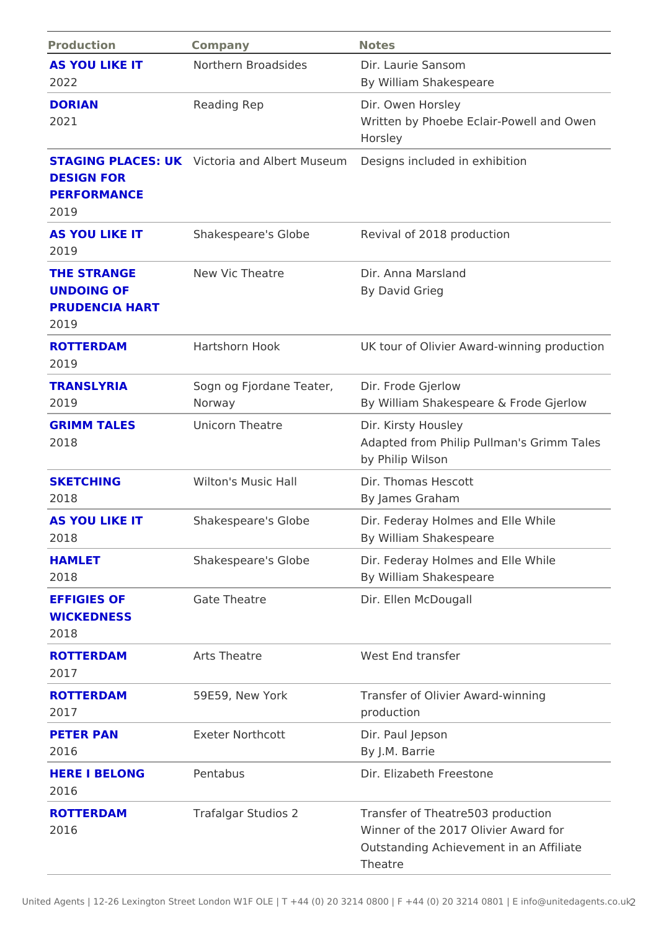| Production                                          | Company                                           | Notes                                                                                                                         |
|-----------------------------------------------------|---------------------------------------------------|-------------------------------------------------------------------------------------------------------------------------------|
| AS YOU LIKE IT<br>2022                              | Northern Broadsides Dir. Laurie Sansom            | By William Shakespeare                                                                                                        |
| <b>DORIAN</b><br>2021                               | Reading Rep                                       | Dir. Owen Horsley<br>Written by Phoebe Eclair-Powell and<br>Horsley                                                           |
| <b>DESIGN FOR</b><br><b>PERFORMANCE</b><br>2019     |                                                   | STAGING PLACES: VWolchia and Albert MD sesign en included in exhibition                                                       |
| AS YOU LIKE IT<br>2019                              |                                                   | Shakespeare's Globe Revival of 2018 production                                                                                |
| THE STRANGE<br>UNDOING OF<br>PRUDENCIA HART<br>2019 | New Vic Theatre                                   | Dir. Anna Marsland<br>By David Grieg                                                                                          |
| <b>ROTTERDAM</b><br>2019                            | Hartshorn Hook                                    | UK tour of Olivier Award-winning prod                                                                                         |
| <b>TRANSLYRIA</b><br>2019                           | Sogn og Fjordane TeaDer., Frode Gjerlow<br>Norway | By William Shakespeare & Frode Gjer                                                                                           |
| <b>GRIMM TALES</b><br>2018                          | Unicorn Theatre                                   | Dir. Kirsty Housley<br>Adapted from Philip Pullman's Grimm<br>by Philip Wilson                                                |
| <b>SKETCHING</b><br>2018                            | Wilton's Music Hall                               | Dir. Thomas Hescott<br>By James Graham                                                                                        |
| AS YOU LIKE IT<br>2018                              |                                                   | Shakespeare's Globe Dir. Federay Holmes and Elle While<br>By William Shakespeare                                              |
| HAMLET<br>2018                                      |                                                   | Shakespeare's Globe Dir. Federay Holmes and Elle While<br>By William Shakespeare                                              |
| <b>EFFIGIES OF</b><br>WICKEDNESS<br>2018            | Gate Theatre                                      | Dir. Ellen McDougall                                                                                                          |
| <b>ROTTERDAM</b><br>2017                            | Arts Theatre                                      | West End transfer                                                                                                             |
| <b>ROTTERDAM</b><br>2017                            | 59E59, New York                                   | Transfer of Olivier Award-winning<br>production                                                                               |
| PETER PAN<br>2016                                   | Exeter Northcott                                  | Dir. Paul Jepson<br>By J.M. Barrie                                                                                            |
| <b>HERE I BELONG</b><br>2016                        | Pentabus                                          | Dir. Elizabeth Freestone                                                                                                      |
| <b>ROTTERDAM</b><br>2016                            | Trafalgar Studios 2                               | Transfer of Theatre503 production<br>Winner of the 2017 Olivier Award for<br>Outstanding Achievement in an Affilia<br>Theatre |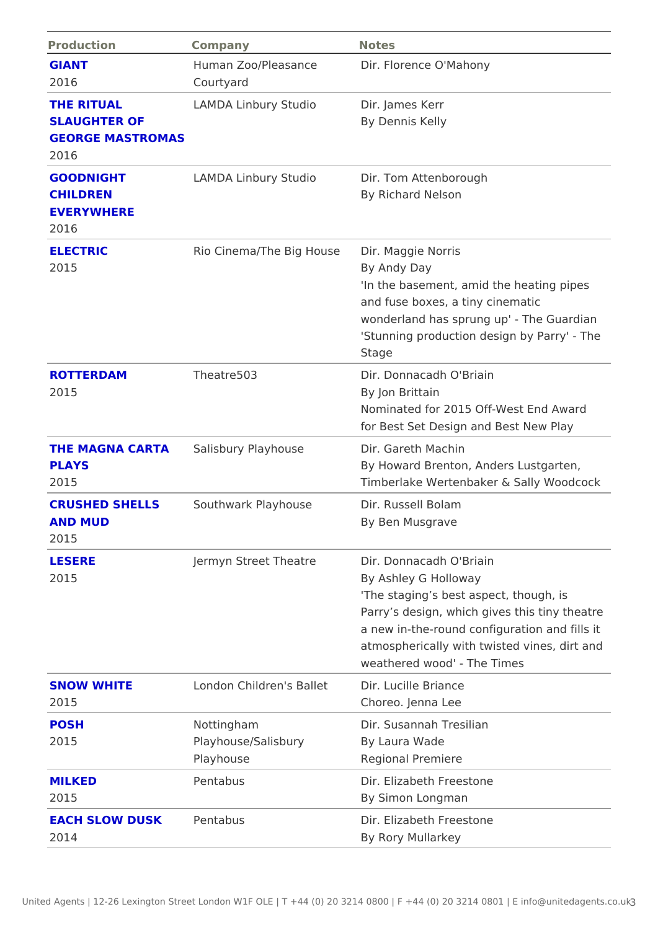| Production                                                           | Company                                                      | Notes                                                                                                                                                                                                                                                                   |  |
|----------------------------------------------------------------------|--------------------------------------------------------------|-------------------------------------------------------------------------------------------------------------------------------------------------------------------------------------------------------------------------------------------------------------------------|--|
| GIANT<br>2016                                                        | Courtyard                                                    | Human Zoo/PleasanceDir. Florence O'Mahony                                                                                                                                                                                                                               |  |
| THE RITUAL<br><b>SLAUGHTER OF</b><br><b>GEORGE MASTROMAS</b><br>2016 | LAMDA Linbury Studidir. James Kerr                           | By Dennis Kelly                                                                                                                                                                                                                                                         |  |
| <b>GOODNIGHT</b><br>CHILDREN<br><b>EVERYWHERE</b><br>2016            |                                                              | LAMDA Linbury Studidir. Tom Attenborough<br>By Richard Nelson                                                                                                                                                                                                           |  |
| <b>ELECTRIC</b><br>2015                                              | Rio Cinema/The Big HDbiurseMaggie Norris                     | By Andy Day<br>'In the basement, amid the heating pi<br>and fuse boxes, a tiny cinematic<br>wonderland has sprung up' - The Gual<br>'Stunning production design by Parry'<br>Stage                                                                                      |  |
| <b>ROTTERDAM</b><br>2015                                             | Theatre503                                                   | Dir. Donnacadh O'Briain<br>By Jon Brittain<br>Nominated for 2015 Off-West End Awa<br>for Best Set Design and Best New Pla                                                                                                                                               |  |
| PLAYS<br>2015                                                        | THE MAGNA CARTSalisbury Playhouse Dir. Gareth Machin         | By Howard Brenton, Anders Lustgarte<br>Timberlake Wertenbaker & Sally Wood                                                                                                                                                                                              |  |
| AND MUD<br>2015                                                      | CRUSHED SHELLSSouthwark Playhouse Dir. Russell Bolam         | By Ben Musgrave                                                                                                                                                                                                                                                         |  |
| <b>LESERE</b><br>2015                                                |                                                              | Jermyn Street Theatr@ir. Donnacadh O'Briain<br>By Ashley G Holloway<br>'The staging s best aspect, though, is<br>Parry s design, which gives this tiny<br>a new in-the-round configuration and<br>atmospherically with twisted vines, di<br>weathered wood' - The Times |  |
| SNOW WHITE<br>2015                                                   | London Children's BaDert. Lucille Briance                    | Choreo. Jenna Lee                                                                                                                                                                                                                                                       |  |
| <b>POSH</b><br>2015                                                  | Nottingham<br>Playhouse/Salisbury By Laura Wade<br>Playhouse | Dir. Susannah Tresilian<br>Regional Premiere                                                                                                                                                                                                                            |  |
| <b>MILKED</b><br>2015                                                | Pentabus                                                     | Dir. Elizabeth Freestone<br>By Simon Longman                                                                                                                                                                                                                            |  |
| <b>EACH SLOW DUSKPentabus</b><br>2014                                |                                                              | Dir. Elizabeth Freestone<br>By Rory Mullarkey                                                                                                                                                                                                                           |  |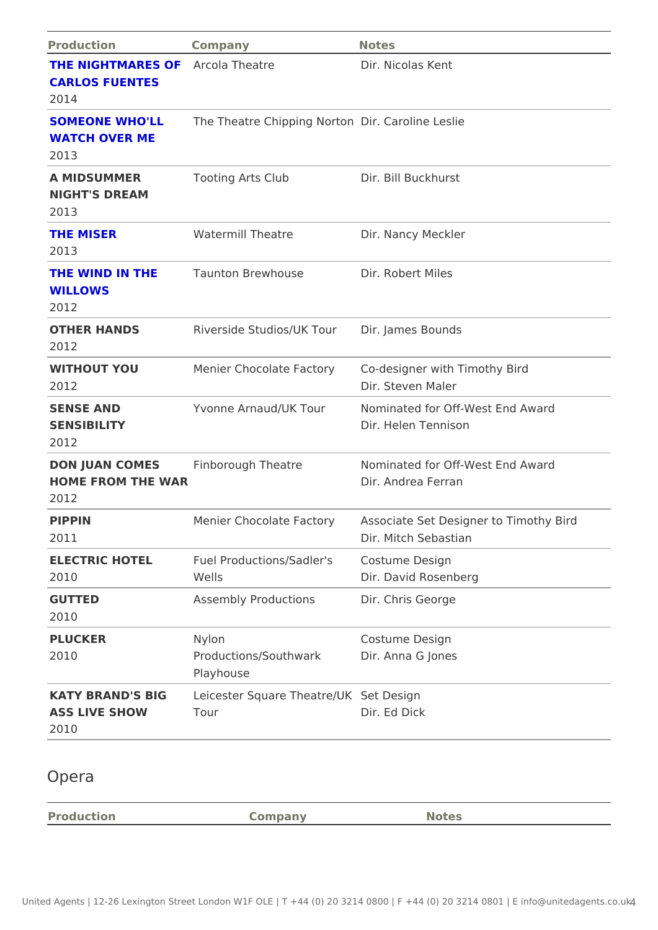| Production                                                     | Company                                                        | Notes                                                                             |
|----------------------------------------------------------------|----------------------------------------------------------------|-----------------------------------------------------------------------------------|
| THE NIGHTMARES ACEOla Theatre<br><b>CARLOS FUENTES</b><br>2014 |                                                                | Dir. Nicolas Kent                                                                 |
| <b>WATCH OVER ME</b><br>2013                                   | SOMEONE WHO'LLThe Theatre ChippingDNim.rtCoanroline Leslie     |                                                                                   |
| A MIDSUMMER<br>NIGHT'S DREAM<br>2013                           | Tooting Arts Club Dir. Bill Buckhurst                          |                                                                                   |
| THE MISER<br>2013                                              | Watermill Theatre                                              | Dir. Nancy Meckler                                                                |
| WILLOWS<br>2012                                                | THE WIND IN THE Taunton Brewhouse Dir. Robert Miles            |                                                                                   |
| OTHER HANDS<br>2012                                            | Riverside Studios/UKDTiourJames Bounds                         |                                                                                   |
| WITHOUT YOU<br>2012                                            |                                                                | Menier Chocolate FacCordesigner with Timothy Bird<br>Dir. Steven Maler            |
| SENSE AND<br>SENSIBILITY<br>2012                               |                                                                | Yvonne Arnaud/UK ToNominated for Off-West End Award<br>Dir. Helen Tennison        |
| HOME FROM THE WAR<br>2012                                      | DON JUAN COMESFinborough Theatre                               | Nominated for Off-West End Award<br>Dir. Andrea Ferran                            |
| PIPPIN<br>2011                                                 |                                                                | Menier Chocolate FacAssyociate Set Designer to Timothy Bi<br>Dir. Mitch Sebastian |
| 2010                                                           | ELECTRIC HOTEL Fuel Productions/Sad Decristume Design<br>Wells | Dir. David Rosenberg                                                              |
| <b>GUTTED</b><br>2010                                          | Assembly ProductionsDir. Chris George                          |                                                                                   |
| PLUCKER<br>2010                                                | Nylon<br>Productions/SouthwarMir. Anna G Jones<br>Playhouse    | Costume Design                                                                    |
| ASS LIVE SHOW                                                  | KATY BRAND'S BIGeicester Square The Sterte Duelsign<br>Tour    | Dir. Ed Dick                                                                      |

## Opera

| Production | $\mathcal{C}$ ompany | Notes |
|------------|----------------------|-------|
|            |                      |       |